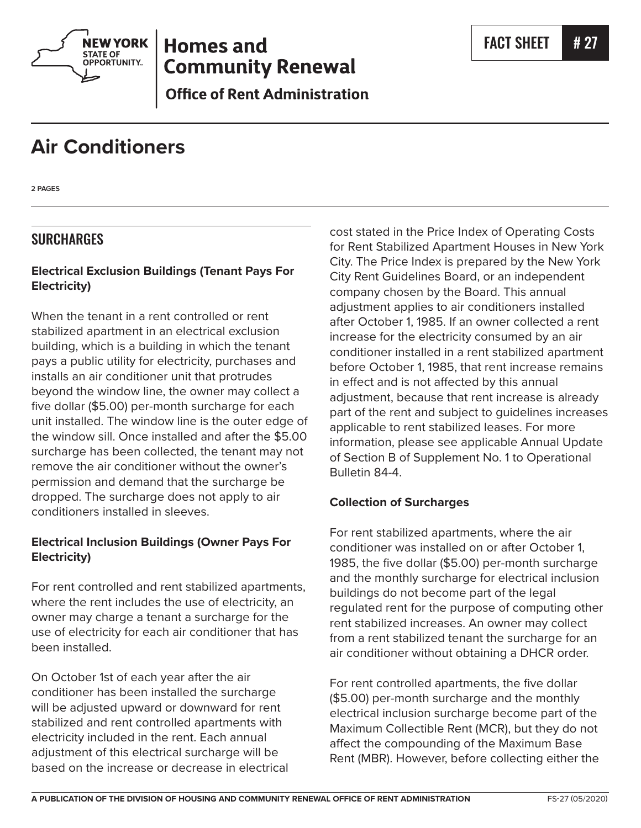

## **Homes and Community Renewal**

**Office of Rent Administration** 

# **Air Conditioners**

**2 PAGES**

## **SURCHARGES**

#### **Electrical Exclusion Buildings (Tenant Pays For Electricity)**

When the tenant in a rent controlled or rent stabilized apartment in an electrical exclusion building, which is a building in which the tenant pays a public utility for electricity, purchases and installs an air conditioner unit that protrudes beyond the window line, the owner may collect a five dollar (\$5.00) per-month surcharge for each unit installed. The window line is the outer edge of the window sill. Once installed and after the \$5.00 surcharge has been collected, the tenant may not remove the air conditioner without the owner's permission and demand that the surcharge be dropped. The surcharge does not apply to air conditioners installed in sleeves.

### **Electrical Inclusion Buildings (Owner Pays For Electricity)**

For rent controlled and rent stabilized apartments, where the rent includes the use of electricity, an owner may charge a tenant a surcharge for the use of electricity for each air conditioner that has been installed.

On October 1st of each year after the air conditioner has been installed the surcharge will be adjusted upward or downward for rent stabilized and rent controlled apartments with electricity included in the rent. Each annual adjustment of this electrical surcharge will be based on the increase or decrease in electrical cost stated in the Price Index of Operating Costs for Rent Stabilized Apartment Houses in New York City. The Price Index is prepared by the New York City Rent Guidelines Board, or an independent company chosen by the Board. This annual adjustment applies to air conditioners installed after October 1, 1985. If an owner collected a rent increase for the electricity consumed by an air conditioner installed in a rent stabilized apartment before October 1, 1985, that rent increase remains in effect and is not affected by this annual adjustment, because that rent increase is already part of the rent and subject to guidelines increases applicable to rent stabilized leases. For more information, please see applicable Annual Update of Section B of Supplement No. 1 to Operational Bulletin 84-4.

#### **Collection of Surcharges**

For rent stabilized apartments, where the air conditioner was installed on or after October 1, 1985, the five dollar (\$5.00) per-month surcharge and the monthly surcharge for electrical inclusion buildings do not become part of the legal regulated rent for the purpose of computing other rent stabilized increases. An owner may collect from a rent stabilized tenant the surcharge for an air conditioner without obtaining a DHCR order.

For rent controlled apartments, the five dollar (\$5.00) per-month surcharge and the monthly electrical inclusion surcharge become part of the Maximum Collectible Rent (MCR), but they do not affect the compounding of the Maximum Base Rent (MBR). However, before collecting either the